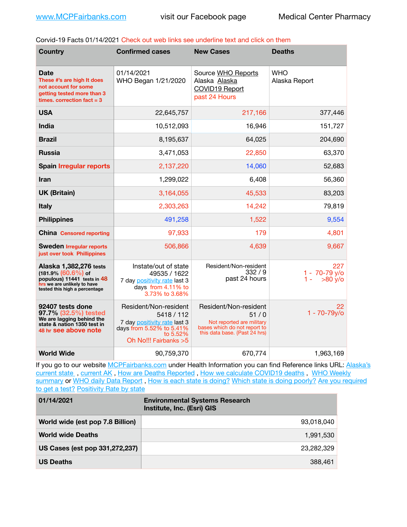Corvid-19 Facts 01/14/2021 Check out web links see underline text and click on them

| <b>Country</b>                                                                                                                                  | <b>Confirmed cases</b>                                                                                                                | <b>New Cases</b>                                                                                                            | <b>Deaths</b>                            |
|-------------------------------------------------------------------------------------------------------------------------------------------------|---------------------------------------------------------------------------------------------------------------------------------------|-----------------------------------------------------------------------------------------------------------------------------|------------------------------------------|
| Date<br>These #'s are high It does<br>not account for some<br>getting tested more than 3<br>times, correction fact $=$ 3                        | 01/14/2021<br>WHO Began 1/21/2020                                                                                                     | Source WHO Reports<br>Alaska Alaska<br><b>COVID19 Report</b><br>past 24 Hours                                               | <b>WHO</b><br>Alaska Report              |
| <b>USA</b>                                                                                                                                      | 22,645,757                                                                                                                            | 217,166                                                                                                                     | 377,446                                  |
| <b>India</b>                                                                                                                                    | 10,512,093                                                                                                                            | 16,946                                                                                                                      | 151,727                                  |
| <b>Brazil</b>                                                                                                                                   | 8,195,637                                                                                                                             | 64,025                                                                                                                      | 204,690                                  |
| <b>Russia</b>                                                                                                                                   | 3,471,053                                                                                                                             | 22,850                                                                                                                      | 63,370                                   |
| <b>Spain Irregular reports</b>                                                                                                                  | 2,137,220                                                                                                                             | 14,060                                                                                                                      | 52,683                                   |
| <b>Iran</b>                                                                                                                                     | 1,299,022                                                                                                                             | 6,408                                                                                                                       | 56,360                                   |
| <b>UK (Britain)</b>                                                                                                                             | 3,164,055                                                                                                                             | 45,533                                                                                                                      | 83,203                                   |
| <b>Italy</b>                                                                                                                                    | 2,303,263                                                                                                                             | 14,242                                                                                                                      | 79,819                                   |
| <b>Philippines</b>                                                                                                                              | 491,258                                                                                                                               | 1,522                                                                                                                       | 9,554                                    |
| <b>China</b> Censored reporting                                                                                                                 | 97,933                                                                                                                                | 179                                                                                                                         | 4,801                                    |
| <b>Sweden Irregular reports</b><br>just over took Phillippines                                                                                  | 506,866                                                                                                                               | 4,639                                                                                                                       | 9,667                                    |
| Alaska 1,382,276 tests<br>$(181.9\%)(60.6\%)$ of<br>populous) 11441 tests in 48<br>hrs we are unlikely to have<br>tested this high a percentage | Instate/out of state<br>49535 / 1622<br>7 day positivity rate last 3<br>days from 4.11% to<br>3.73% to 3.68%                          | Resident/Non-resident<br>332/9<br>past 24 hours                                                                             | 227<br>1 - 70-79 y/o<br>$>80$ y/o<br>1 - |
| 92407 tests done<br>97.7% (32.5%) tested<br>We are lagging behind the<br>state & nation 1350 test in<br>48 hr see above note                    | Resident/Non-resident<br>5418 / 112<br>7 day positivity rate last 3<br>days from 5.52% to 5.41%<br>to 5.52%<br>Oh No!!! Fairbanks > 5 | Resident/Non-resident<br>51/0<br>Not reported are military<br>bases which do not report to<br>this data base. {Past 24 hrs) | 22<br>$1 - 70 - 79y$ o                   |
| <b>World Wide</b>                                                                                                                               | 90,759,370                                                                                                                            | 670,774                                                                                                                     | 1,963,169                                |

If you go to our website [MCPFairbanks.com](http://www.MCPFairbanks.com) under Health Information you can find Reference links URL: Alaska's current state, current AK, [How are Deaths Reported](http://dhss.alaska.gov/dph/Epi/id/Pages/COVID-19/deathcounts.aspx), [How we calculate COVID19 deaths](https://coronavirus-response-alaska-dhss.hub.arcgis.com/search?collection=Document&groupIds=41ccb3344ebc4bd682c74073eba21f42), WHO Weekly [summary](http://www.who.int) or [WHO daily Data Report](https://covid19.who.int/table), [How is each state is doing?](https://www.msn.com/en-us/news/us/state-by-state-coronavirus-news/ar-BB13E1PX?fbclid=IwAR0_OBJH7lSyTN3ug_MsOeFnNgB1orTa9OBgilKJ7dhnwlVvHEsptuKkj1c) [Which state is doing poorly?](https://bestlifeonline.com/covid-outbreak-your-state/?utm_source=nsltr&utm_medium=email&utm_content=covid-outbreak-your-state&utm_campaign=launch) Are you required [to get a test?](http://dhss.alaska.gov/dph/Epi/id/SiteAssets/Pages/HumanCoV/Whattodoafteryourtest.pdf) [Positivity Rate by state](https://coronavirus.jhu.edu/testing/individual-states/alaska)

| 01/14/2021                       | <b>Environmental Systems Research</b><br>Institute, Inc. (Esri) GIS |
|----------------------------------|---------------------------------------------------------------------|
| World wide (est pop 7.8 Billion) | 93.018.040                                                          |
| <b>World wide Deaths</b>         | 1,991,530                                                           |
| US Cases (est pop 331,272,237)   | 23.282.329                                                          |
| <b>US Deaths</b>                 | 388,461                                                             |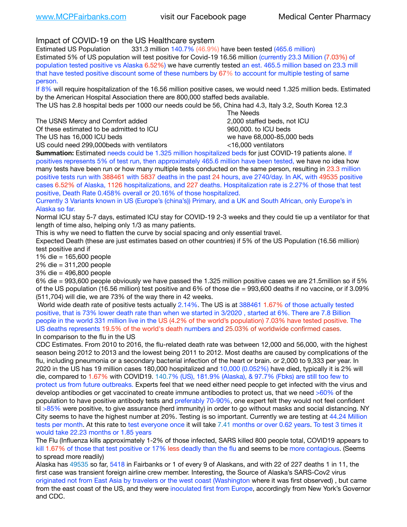Impact of COVID-19 on the US Healthcare system

Estimated US Population 331.3 million 140.7% (46.9%) have been tested (465.6 million) Estimated 5% of US population will test positive for Covid-19 16.56 million (currently 23.3 Million (7.03%) of population tested positive vs Alaska 6.52%) we have currently tested an est. 465.5 million based on 23.3 mill that have tested positive discount some of these numbers by 67% to account for multiple testing of same person.

If 8% will require hospitalization of the 16.56 million positive cases, we would need 1.325 million beds. Estimated by the American Hospital Association there are 800,000 staffed beds available.

The US has 2.8 hospital beds per 1000 our needs could be 56, China had 4.3, Italy 3.2, South Korea 12.3

The USNS Mercy and Comfort added **8.2000** staffed beds, not ICU Of these estimated to be admitted to ICU 860,000. to ICU beds The US has 16,000 ICU beds we have 68,000-85,000 beds

 The Needs US could need 299,000beds with ventilators <16,000 ventilators

**Summation:** Estimated needs could be 1.325 million hospitalized beds for just COVID-19 patients alone. If positives represents 5% of test run, then approximately 465.6 million have been tested, we have no idea how many tests have been run or how many multiple tests conducted on the same person, resulting in 23.3 million positive tests run with 388461 with 5837 deaths in the past 24 hours, ave 2740/day. In AK, with 49535 positive cases 6.52% of Alaska, 1126 hospitalizations, and 227 deaths. Hospitalization rate is 2.27% of those that test positive, Death Rate 0.458% overall or 20.16% of those hospitalized.

Currently 3 Variants known in US (Europe's (china's)) Primary, and a UK and South African, only Europe's in Alaska so far.

Normal ICU stay 5-7 days, estimated ICU stay for COVID-19 2-3 weeks and they could tie up a ventilator for that length of time also, helping only 1/3 as many patients.

This is why we need to flatten the curve by social spacing and only essential travel.

Expected Death (these are just estimates based on other countries) if 5% of the US Population (16.56 million) test positive and if

1% die = 165,600 people

2% die = 311,200 people

3% die = 496,800 people

6% die = 993,600 people obviously we have passed the 1.325 million positive cases we are 21.5million so if 5% of the US population (16.56 million) test positive and 6% of those die = 993,600 deaths if no vaccine, or if 3.09% (511,704) will die, we are 73% of the way there in 42 weeks.

 World wide death rate of positive tests actually 2.14%. The US is at 388461 1.67% of those actually tested positive, that is 73% lower death rate than when we started in 3/2020 , started at 6%. There are 7.8 Billion people in the world 331 million live in the US (4.2% of the world's population) 7.03% have tested positive. The US deaths represents 19.5% of the world's death numbers and 25.03% of worldwide confirmed cases. In comparison to the flu in the US

CDC Estimates. From 2010 to 2016, the flu-related death rate was between 12,000 and 56,000, with the highest season being 2012 to 2013 and the lowest being 2011 to 2012. Most deaths are caused by complications of the flu, including pneumonia or a secondary bacterial infection of the heart or brain. or 2,000 to 9,333 per year. In 2020 in the US has 19 million cases 180,000 hospitalized and 10,000 (0.052%) have died, typically it is 2% will die, compared to 1.67% with COVID19. 140.7% (US), 181.9% (Alaska), & 97.7% (Fbks) are still too few to protect us from future outbreaks. Experts feel that we need either need people to get infected with the virus and develop antibodies or get vaccinated to create immune antibodies to protect us, that we need >60% of the population to have positive antibody tests and preferably 70-90%, one expert felt they would not feel confident til >85% were positive, to give assurance (herd immunity) in order to go without masks and social distancing. NY City seems to have the highest number at 20%. Testing is so important. Currently we are testing at 44.24 Million tests per month. At this rate to test everyone once it will take 7.41 months or over 0.62 years. To test 3 times it would take 22.23 months or 1.85 years

The Flu (Influenza kills approximately 1-2% of those infected, SARS killed 800 people total, COVID19 appears to kill 1.67% of those that test positive or 17% less deadly than the flu and seems to be more contagious. (Seems to spread more readily)

Alaska has 49535 so far, 5418 in Fairbanks or 1 of every 9 of Alaskans, and with 22 of 227 deaths 1 in 11, the first case was transient foreign airline crew member. Interesting, the Source of Alaska's SARS-Cov2 virus originated not from East Asia by travelers or the west coast (Washington where it was first observed) , but came from the east coast of the US, and they were inoculated first from Europe, accordingly from New York's Governor and CDC.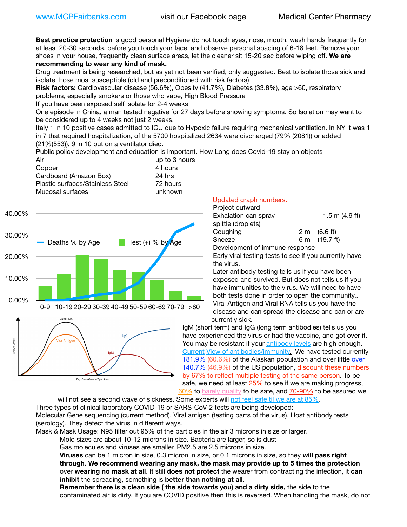**Best practice protection** is good personal Hygiene do not touch eyes, nose, mouth, wash hands frequently for at least 20-30 seconds, before you touch your face, and observe personal spacing of 6-18 feet. Remove your shoes in your house, frequently clean surface areas, let the cleaner sit 15-20 sec before wiping off. **We are recommending to wear any kind of mask.**

Drug treatment is being researched, but as yet not been verified, only suggested. Best to isolate those sick and isolate those most susceptible (old and preconditioned with risk factors)

**Risk factors:** Cardiovascular disease (56.6%), Obesity (41.7%), Diabetes (33.8%), age >60, respiratory problems, especially smokers or those who vape, High Blood Pressure

If you have been exposed self isolate for 2-4 weeks

One episode in China, a man tested negative for 27 days before showing symptoms. So Isolation may want to be considered up to 4 weeks not just 2 weeks.

Italy 1 in 10 positive cases admitted to ICU due to Hypoxic failure requiring mechanical ventilation. In NY it was 1 in 7 that required hospitalization, of the 5700 hospitalized 2634 were discharged (79% (2081)) or added (21%(553)), 9 in 10 put on a ventilator died.

Public policy development and education is important. How Long does Covid-19 stay on objects

| Air                              | up to 3 hours |
|----------------------------------|---------------|
| Copper                           | 4 hours       |
| Cardboard (Amazon Box)           | 24 hrs        |
| Plastic surfaces/Stainless Steel | 72 hours      |
| Mucosal surfaces                 | unknown       |
|                                  |               |



## Updated graph numbers.

| Project outward                |                        |
|--------------------------------|------------------------|
| Exhalation can spray           | 1.5 m $(4.9$ ft)       |
| spittle (droplets)             |                        |
| Coughing                       | $2 \text{ m}$ (6.6 ft) |
| Sneeze                         | 6 m (19.7 ft)          |
| Development of immune response |                        |

Early viral testing tests to see if you currently have the virus.

Later antibody testing tells us if you have been exposed and survived. But does not tells us if you have immunities to the virus. We will need to have both tests done in order to open the community.. Viral Antigen and Viral RNA tells us you have the disease and can spread the disease and can or are currently sick.

IgM (short term) and IgG (long term antibodies) tells us you have experienced the virus or had the vaccine, and got over it. You may be resistant if your [antibody levels](https://www.cdc.gov/coronavirus/2019-ncov/lab/resources/antibody-tests.html) are high enough. [Current](https://l.facebook.com/l.php?u=https://www.itv.com/news/2020-10-26/covid-19-antibody-levels-reduce-over-time-study-finds?fbclid=IwAR3Dapzh1qIH1EIOdUQI2y8THf7jfA4KBCaJz8Qg-8xe1YsrR4nsAHDIXSY&h=AT30nut8pkqp0heVuz5W2rT2WFFm-2Ab52BsJxZZCNlGsX58IpPkuVEPULbIUV_M16MAukx1Kwb657DPXxsgDN1rpOQ4gqBtQsmVYiWpnHPJo2RQsU6CPMd14lgLnQnFWxfVi6zvmw&__tn__=-UK-R&c%5B0%5D=AT1GaRAfR_nGAyqcn7TI1-PpvqOqEKXHnz6TDWvRStMnOSH7boQDvTiwTOc6VId9UES6LKiOmm2m88wKCoolkJyOFvakt2Z1Mw8toYWGGoWW23r0MNVBl7cYJXB_UOvGklNHaNnaNr1_S7NhT3BSykNOBg) [View of antibodies/immunity](https://www.livescience.com/antibodies.html)[.](https://www.itv.com/news/2020-10-26/covid-19-antibody-levels-reduce-over-time-study-finds) We have tested currently 181.9% (60.6%) of the Alaskan population and over little over 140.7% (46.9%) of the US population, discount these numbers by 67% to reflect multiple testing of the same person. To be safe, we need at least 25% to see if we are making progress, [60%](https://www.jhsph.edu/covid-19/articles/achieving-herd-immunity-with-covid19.html) to [barely qualify](https://www.nature.com/articles/d41586-020-02948-4) to be safe, and [70-90%](https://www.mayoclinic.org/herd-immunity-and-coronavirus/art-20486808) to be assured we

will not see a second wave of sickness. Some experts will [not feel safe til we are at 85%.](https://www.bannerhealth.com/healthcareblog/teach-me/what-is-herd-immunity) Three types of clinical laboratory COVID-19 or SARS-CoV-2 tests are being developed: Molecular Gene sequencing (current method), Viral antigen (testing parts of the virus), Host antibody tests (serology). They detect the virus in different ways.

Mask & Mask Usage: N95 filter out 95% of the particles in the air 3 microns in size or larger.

Mold sizes are about 10-12 microns in size. Bacteria are larger, so is dust

Gas molecules and viruses are smaller. PM2.5 are 2.5 microns in size.

**Viruses** can be 1 micron in size, 0.3 micron in size, or 0.1 microns in size, so they **will pass right through**. **We recommend wearing any mask, the mask may provide up to 5 times the protection** over **wearing no mask at all**. It still **does not protect** the wearer from contracting the infection, it **can inhibit** the spreading, something is **better than nothing at all**.

**Remember there is a clean side ( the side towards you) and a dirty side,** the side to the contaminated air is dirty. If you are COVID positive then this is reversed. When handling the mask, do not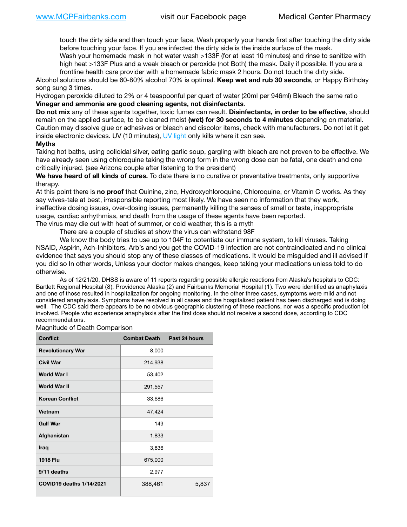touch the dirty side and then touch your face, Wash properly your hands first after touching the dirty side before touching your face. If you are infected the dirty side is the inside surface of the mask.

Wash your homemade mask in hot water wash >133F (for at least 10 minutes) and rinse to sanitize with high heat >133F Plus and a weak bleach or peroxide (not Both) the mask. Daily if possible. If you are a frontline health care provider with a homemade fabric mask 2 hours. Do not touch the dirty side.

Alcohol solutions should be 60-80% alcohol 70% is optimal. **Keep wet and rub 30 seconds**, or Happy Birthday song sung 3 times.

Hydrogen peroxide diluted to 2% or 4 teaspoonful per quart of water (20ml per 946ml) Bleach the same ratio **Vinegar and ammonia are good cleaning agents, not disinfectants**.

**Do not mix** any of these agents together, toxic fumes can result. **Disinfectants, in order to be effective**, should remain on the applied surface, to be cleaned moist **(wet) for 30 seconds to 4 minutes** depending on material. Caution may dissolve glue or adhesives or bleach and discolor items, check with manufacturers. Do not let it get inside electronic devices. UV (10 minutes), [UV light](http://www.docreviews.me/best-uv-boxes-2020/?fbclid=IwAR3bvFtXB48OoBBSvYvTEnKuHNPbipxM6jUo82QUSw9wckxjC7wwRZWabGw) only kills where it can see.

## **Myths**

Taking hot baths, using colloidal silver, eating garlic soup, gargling with bleach are not proven to be effective. We have already seen using chloroquine taking the wrong form in the wrong dose can be fatal, one death and one critically injured. (see Arizona couple after listening to the president)

**We have heard of all kinds of cures.** To date there is no curative or preventative treatments, only supportive therapy.

At this point there is **no proof** that Quinine, zinc, Hydroxychloroquine, Chloroquine, or Vitamin C works. As they say wives-tale at best, irresponsible reporting most likely. We have seen no information that they work, ineffective dosing issues, over-dosing issues, permanently killing the senses of smell or taste, inappropriate usage, cardiac arrhythmias, and death from the usage of these agents have been reported. The virus may die out with heat of summer, or cold weather, this is a myth

There are a couple of studies at show the virus can withstand 98F

We know the body tries to use up to 104F to potentiate our immune system, to kill viruses. Taking NSAID, Aspirin, Ach-Inhibitors, Arb's and you get the COVID-19 infection are not contraindicated and no clinical evidence that says you should stop any of these classes of medications. It would be misguided and ill advised if you did so In other words, Unless your doctor makes changes, keep taking your medications unless told to do otherwise.

As of 12/21/20, DHSS is aware of 11 reports regarding possible allergic reactions from Alaska's hospitals to CDC: Bartlett Regional Hospital (8), Providence Alaska (2) and Fairbanks Memorial Hospital (1). Two were identified as anaphylaxis and one of those resulted in hospitalization for ongoing monitoring. In the other three cases, symptoms were mild and not considered anaphylaxis. Symptoms have resolved in all cases and the hospitalized patient has been discharged and is doing well. The CDC said there appears to be no obvious geographic clustering of these reactions, nor was a specific production lot involved. People who experience anaphylaxis after the first dose should not receive a second dose, according to CDC recommendations.

Magnitude of Death Comparison

| <b>Conflict</b>                 | <b>Combat Death</b> | Past 24 hours |
|---------------------------------|---------------------|---------------|
| <b>Revolutionary War</b>        | 8,000               |               |
| <b>Civil War</b>                | 214,938             |               |
| World War I                     | 53,402              |               |
| World War II                    | 291,557             |               |
| <b>Korean Conflict</b>          | 33,686              |               |
| <b>Vietnam</b>                  | 47,424              |               |
| <b>Gulf War</b>                 | 149                 |               |
| Afghanistan                     | 1,833               |               |
| <b>Iraq</b>                     | 3,836               |               |
| <b>1918 Flu</b>                 | 675,000             |               |
| 9/11 deaths                     | 2,977               |               |
| <b>COVID19 deaths 1/14/2021</b> | 388,461             | 5,837         |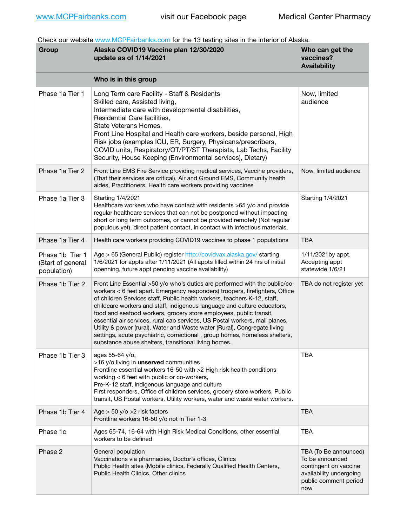Check our website [www.MCPFairbanks.com](http://www.MCPFairbanks.com) for the 13 testing sites in the interior of Alaska.

| Group                                               | Alaska COVID19 Vaccine plan 12/30/2020<br>update as of 1/14/2021                                                                                                                                                                                                                                                                                                                                                                                                                                                                                                                                                                                                                           | Who can get the<br>vaccines?<br><b>Availability</b>                                                                          |
|-----------------------------------------------------|--------------------------------------------------------------------------------------------------------------------------------------------------------------------------------------------------------------------------------------------------------------------------------------------------------------------------------------------------------------------------------------------------------------------------------------------------------------------------------------------------------------------------------------------------------------------------------------------------------------------------------------------------------------------------------------------|------------------------------------------------------------------------------------------------------------------------------|
|                                                     | Who is in this group                                                                                                                                                                                                                                                                                                                                                                                                                                                                                                                                                                                                                                                                       |                                                                                                                              |
| Phase 1a Tier 1                                     | Long Term care Facility - Staff & Residents<br>Skilled care, Assisted living,<br>Intermediate care with developmental disabilities,<br>Residential Care facilities,<br>State Veterans Homes.<br>Front Line Hospital and Health care workers, beside personal, High<br>Risk jobs (examples ICU, ER, Surgery, Physicans/prescribers,<br>COVID units, Respiratory/OT/PT/ST Therapists, Lab Techs, Facility<br>Security, House Keeping (Environmental services), Dietary)                                                                                                                                                                                                                      | Now, limited<br>audience                                                                                                     |
| Phase 1a Tier 2                                     | Front Line EMS Fire Service providing medical services, Vaccine providers,<br>(That their services are critical), Air and Ground EMS, Community health<br>aides, Practitioners. Health care workers providing vaccines                                                                                                                                                                                                                                                                                                                                                                                                                                                                     | Now, limited audience                                                                                                        |
| Phase 1a Tier 3                                     | Starting 1/4/2021<br>Healthcare workers who have contact with residents >65 y/o and provide<br>regular healthcare services that can not be postponed without impacting<br>short or long term outcomes, or cannot be provided remotely (Not regular<br>populous yet), direct patient contact, in contact with infectious materials,                                                                                                                                                                                                                                                                                                                                                         | Starting 1/4/2021                                                                                                            |
| Phase 1a Tier 4                                     | Health care workers providing COVID19 vaccines to phase 1 populations                                                                                                                                                                                                                                                                                                                                                                                                                                                                                                                                                                                                                      | <b>TBA</b>                                                                                                                   |
| Phase 1b Tier 1<br>(Start of general<br>population) | Age > 65 (General Public) register http://covidvax.alaska.gov/ starting<br>1/6/2021 for appts after 1/11/2021 (All appts filled within 24 hrs of initial<br>openning, future appt pending vaccine availability)                                                                                                                                                                                                                                                                                                                                                                                                                                                                            | 1/11/2021by appt.<br>Accepting appt<br>statewide 1/6/21                                                                      |
| Phase 1b Tier 2                                     | Front Line Essential >50 y/o who's duties are performed with the public/co-<br>workers < 6 feet apart. Emergency responders( troopers, firefighters, Office<br>of children Services staff, Public health workers, teachers K-12, staff,<br>childcare workers and staff, indigenous language and culture educators,<br>food and seafood workers, grocery store employees, public transit,<br>essential air services, rural cab services, US Postal workers, mail planes,<br>Utility & power (rural), Water and Waste water (Rural), Congregate living<br>settings, acute psychiatric, correctional, group homes, homeless shelters,<br>substance abuse shelters, transitional living homes. | TBA do not register yet                                                                                                      |
| Phase 1b Tier 3                                     | ages 55-64 y/o.<br>>16 y/o living in unserved communities<br>Frontline essential workers 16-50 with >2 High risk health conditions<br>working < 6 feet with public or co-workers,<br>Pre-K-12 staff, indigenous language and culture<br>First responders, Office of children services, grocery store workers, Public<br>transit, US Postal workers, Utility workers, water and waste water workers.                                                                                                                                                                                                                                                                                        | <b>TBA</b>                                                                                                                   |
| Phase 1b Tier 4                                     | Age $>$ 50 y/o $>$ 2 risk factors<br>Frontline workers 16-50 y/o not in Tier 1-3                                                                                                                                                                                                                                                                                                                                                                                                                                                                                                                                                                                                           | <b>TBA</b>                                                                                                                   |
| Phase 1c                                            | Ages 65-74, 16-64 with High Risk Medical Conditions, other essential<br>workers to be defined                                                                                                                                                                                                                                                                                                                                                                                                                                                                                                                                                                                              | <b>TBA</b>                                                                                                                   |
| Phase 2                                             | General population<br>Vaccinations via pharmacies, Doctor's offices, Clinics<br>Public Health sites (Mobile clinics, Federally Qualified Health Centers,<br>Public Health Clinics, Other clinics                                                                                                                                                                                                                                                                                                                                                                                                                                                                                           | TBA (To Be announced)<br>To be announced<br>contingent on vaccine<br>availability undergoing<br>public comment period<br>now |